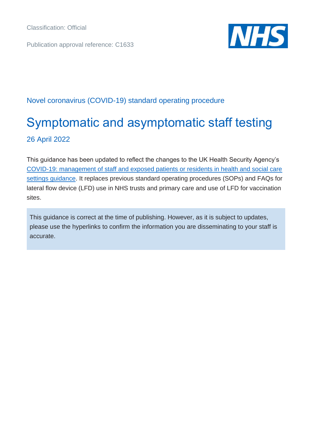Publication approval reference: C1633



#### Novel coronavirus (COVID-19) standard operating procedure

# Symptomatic and asymptomatic staff testing 26 April 2022

This guidance has been updated to reflect the changes to the UK Health Security Agency's [COVID-19: management of staff and exposed patients or residents in health and social care](https://www.gov.uk/government/publications/covid-19-management-of-exposed-healthcare-workers-and-patients-in-hospital-settings/covid-19-management-of-exposed-healthcare-workers-and-patients-in-hospital-settings)  [settings guidance.](https://www.gov.uk/government/publications/covid-19-management-of-exposed-healthcare-workers-and-patients-in-hospital-settings/covid-19-management-of-exposed-healthcare-workers-and-patients-in-hospital-settings) It replaces previous standard operating procedures (SOPs) and FAQs for lateral flow device (LFD) use in NHS trusts and primary care and use of LFD for vaccination sites.

This guidance is correct at the time of publishing. However, as it is subject to updates, please use the hyperlinks to confirm the information you are disseminating to your staff is accurate.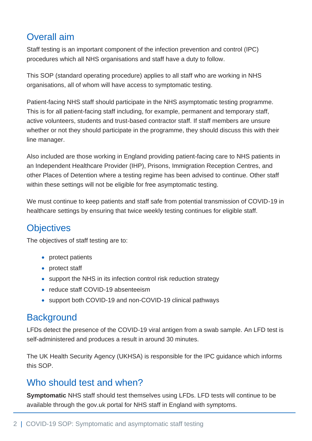# Overall aim

Staff testing is an important component of the infection prevention and control (IPC) procedures which all NHS organisations and staff have a duty to follow.

This SOP (standard operating procedure) applies to all staff who are working in NHS organisations, all of whom will have access to symptomatic testing.

Patient-facing NHS staff should participate in the NHS asymptomatic testing programme. This is for all patient-facing staff including, for example, permanent and temporary staff, active volunteers, students and trust-based contractor staff. If staff members are unsure whether or not they should participate in the programme, they should discuss this with their line manager.

Also included are those working in England providing patient-facing care to NHS patients in an Independent Healthcare Provider (IHP), Prisons, Immigration Reception Centres, and other Places of Detention where a testing regime has been advised to continue. Other staff within these settings will not be eligible for free asymptomatic testing.

We must continue to keep patients and staff safe from potential transmission of COVID-19 in healthcare settings by ensuring that twice weekly testing continues for eligible staff.

# **Objectives**

The objectives of staff testing are to:

- protect patients
- protect staff
- support the NHS in its infection control risk reduction strategy
- reduce staff COVID-19 absenteeism
- support both COVID-19 and non-COVID-19 clinical pathways

## **Background**

LFDs detect the presence of the COVID-19 viral antigen from a swab sample. An LFD test is self-administered and produces a result in around 30 minutes.

The UK Health Security Agency (UKHSA) is responsible for the IPC guidance which informs this SOP.

## Who should test and when?

**Symptomatic** NHS staff should test themselves using LFDs. LFD tests will continue to be available through the gov.uk portal for NHS staff in England with symptoms.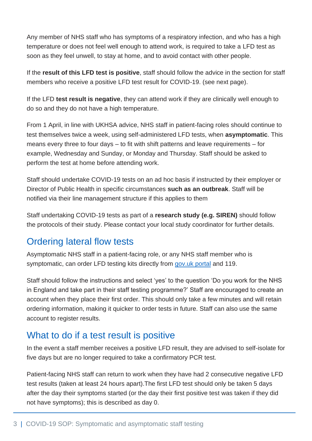Any member of NHS staff who has symptoms of a respiratory infection, and who has a high temperature or does not feel well enough to attend work, is required to take a LFD test as soon as they feel unwell, to stay at home, and to avoid contact with other people.

If the **result of this LFD test is positive**, staff should follow the advice in the section for staff members who receive a positive LFD test result for COVID-19. (see next page).

If the LFD **test result is negative**, they can attend work if they are clinically well enough to do so and they do not have a high temperature.

From 1 April, in line with UKHSA advice, NHS staff in patient-facing roles should continue to test themselves twice a week, using self-administered LFD tests, when **asymptomatic**. This means every three to four days – to fit with shift patterns and leave requirements – for example, Wednesday and Sunday, or Monday and Thursday. Staff should be asked to perform the test at home before attending work.

Staff should undertake COVID-19 tests on an ad hoc basis if instructed by their employer or Director of Public Health in specific circumstances **such as an outbreak**. Staff will be notified via their line management structure if this applies to them

Staff undertaking COVID-19 tests as part of a **research study (e.g. SIREN)** should follow the protocols of their study. Please contact your local study coordinator for further details.

# Ordering lateral flow tests

Asymptomatic NHS staff in a patient-facing role, or any NHS staff member who is symptomatic, can order LFD testing kits directly from [gov.uk portal](http://www.gov.uk/order-coronavirus-rapid-lateral-flow-tests) and 119.

Staff should follow the instructions and select 'yes' to the question 'Do you work for the NHS in England and take part in their staff testing programme?' Staff are encouraged to create an account when they place their first order. This should only take a few minutes and will retain ordering information, making it quicker to order tests in future. Staff can also use the same account to register results.

# What to do if a test result is positive

In the event a staff member receives a positive LFD result, they are advised to self-isolate for five days but are no longer required to take a confirmatory PCR test.

Patient-facing NHS staff can return to work when they have had 2 consecutive negative LFD test results (taken at least 24 hours apart).The first LFD test should only be taken 5 days after the day their symptoms started (or the day their first positive test was taken if they did not have symptoms); this is described as day 0.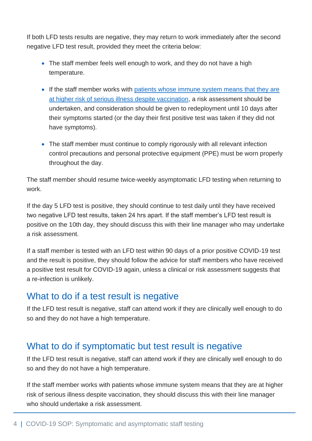If both LFD tests results are negative, they may return to work immediately after the second negative LFD test result, provided they meet the criteria below:

- The staff member feels well enough to work, and they do not have a high temperature.
- If the staff member works with [patients whose immune system](https://www.gov.uk/government/publications/covid-19-guidance-for-people-whose-immune-system-means-they-are-at-higher-risk) means that they are [at higher risk of serious illness despite vaccination,](https://www.gov.uk/government/publications/covid-19-guidance-for-people-whose-immune-system-means-they-are-at-higher-risk) a risk assessment should be undertaken, and consideration should be given to redeployment until 10 days after their symptoms started (or the day their first positive test was taken if they did not have symptoms).
- The staff member must continue to comply rigorously with all relevant infection control precautions and personal protective equipment (PPE) must be worn properly throughout the day.

The staff member should resume twice-weekly asymptomatic LFD testing when returning to work.

If the day 5 LFD test is positive, they should continue to test daily until they have received two negative LFD test results, taken 24 hrs apart. If the staff member's LFD test result is positive on the 10th day, they should discuss this with their line manager who may undertake a risk assessment.

If a staff member is tested with an LFD test within 90 days of a prior positive COVID-19 test and the result is positive, they should follow the advice for staff members who have received a positive test result for COVID-19 again, unless a clinical or risk assessment suggests that a re-infection is unlikely.

#### What to do if a test result is negative

If the LFD test result is negative, staff can attend work if they are clinically well enough to do so and they do not have a high temperature.

## What to do if symptomatic but test result is negative

If the LFD test result is negative, staff can attend work if they are clinically well enough to do so and they do not have a high temperature.

If the staff member works with patients whose immune system means that they are at higher risk of serious illness despite vaccination, they should discuss this with their line manager who should undertake a risk assessment.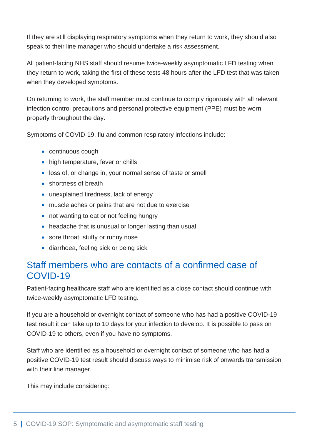If they are still displaying respiratory symptoms when they return to work, they should also speak to their line manager who should undertake a risk assessment.

All patient-facing NHS staff should resume twice-weekly asymptomatic LFD testing when they return to work, taking the first of these tests 48 hours after the LFD test that was taken when they developed symptoms.

On returning to work, the staff member must continue to comply rigorously with all relevant infection control precautions and personal protective equipment (PPE) must be worn properly throughout the day.

Symptoms of COVID-19, flu and common respiratory infections include:

- continuous cough
- high temperature, fever or chills
- loss of, or change in, your normal sense of taste or smell
- shortness of breath
- unexplained tiredness, lack of energy
- muscle aches or pains that are not due to exercise
- not wanting to eat or not feeling hungry
- headache that is unusual or longer lasting than usual
- sore throat, stuffy or runny nose
- diarrhoea, feeling sick or being sick

### Staff members who are contacts of a confirmed case of COVID-19

Patient-facing healthcare staff who are identified as a close contact should continue with twice-weekly asymptomatic LFD testing.

If you are a household or overnight contact of someone who has had a positive COVID-19 test result it can take up to 10 days for your infection to develop. It is possible to pass on COVID-19 to others, even if you have no symptoms.

Staff who are identified as a household or overnight contact of someone who has had a positive COVID-19 test result should discuss ways to minimise risk of onwards transmission with their line manager.

This may include considering: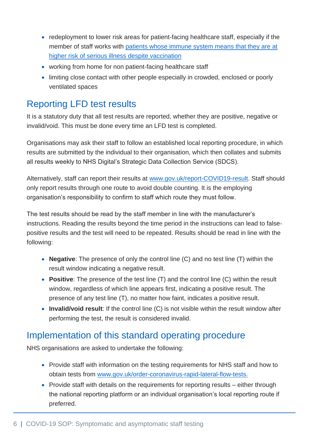- redeployment to lower risk areas for patient-facing healthcare staff, especially if the member of staff works with [patients whose immune system means that they are at](https://www.gov.uk/government/publications/covid-19-guidance-for-people-whose-immune-system-means-they-are-at-higher-risk)  [higher risk of serious illness despite vaccination](https://www.gov.uk/government/publications/covid-19-guidance-for-people-whose-immune-system-means-they-are-at-higher-risk)
- working from home for non patient-facing healthcare staff
- limiting close contact with other people especially in crowded, enclosed or poorly ventilated spaces

# Reporting LFD test results

It is a statutory duty that all test results are reported, whether they are positive, negative or invalid/void. This must be done every time an LFD test is completed.

Organisations may ask their staff to follow an established local reporting procedure, in which results are submitted by the individual to their organisation, which then collates and submits all results weekly to NHS Digital's Strategic Data Collection Service (SDCS).

Alternatively, staff can report their results at [www.gov.uk/report-COVID19-result.](http://www.gov.uk/report-COVID19-result) Staff should only report results through one route to avoid double counting. It is the employing organisation's responsibility to confirm to staff which route they must follow.

The test results should be read by the staff member in line with the manufacturer's instructions. Reading the results beyond the time period in the instructions can lead to falsepositive results and the test will need to be repeated. Results should be read in line with the following:

- **Negative**: The presence of only the control line (C) and no test line (T) within the result window indicating a negative result.
- **Positive**: The presence of the test line (T) and the control line (C) within the result window, regardless of which line appears first, indicating a positive result. The presence of any test line (T), no matter how faint, indicates a positive result.
- **Invalid/void result**: If the control line (C) is not visible within the result window after performing the test, the result is considered invalid.

# Implementation of this standard operating procedure

NHS organisations are asked to undertake the following:

- Provide staff with information on the testing requirements for NHS staff and how to obtain tests from [www.gov.uk/order-coronavirus-rapid-lateral-flow-tests.](http://www.gov.uk/order-coronavirus-rapid-lateral-flow-tests)
- Provide staff with details on the requirements for reporting results either through the national reporting platform or an individual organisation's local reporting route if preferred.